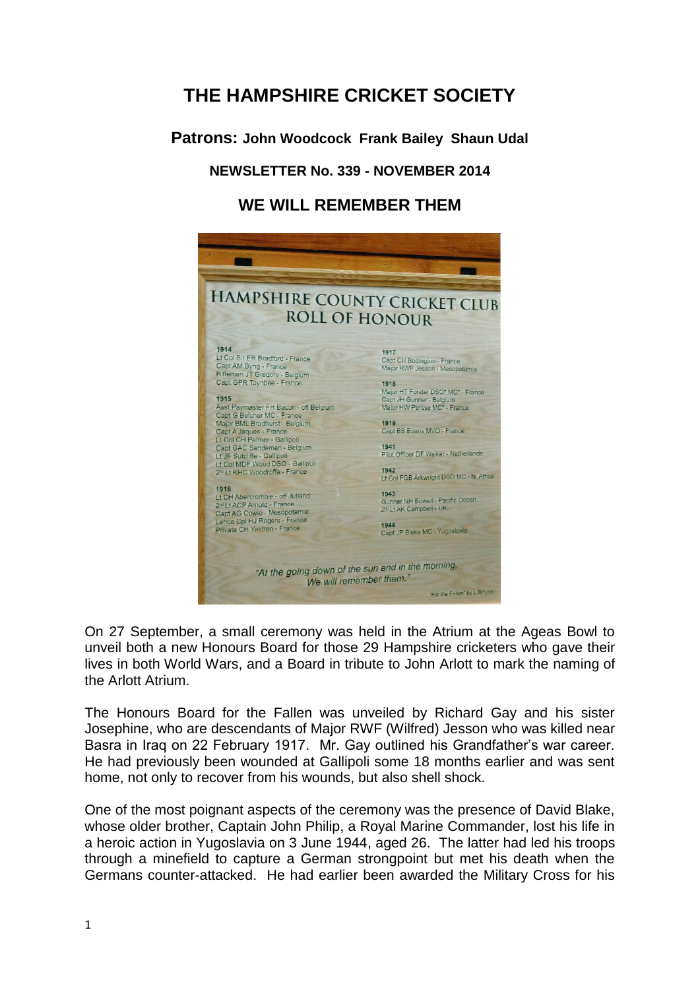# **THE HAMPSHIRE CRICKET SOCIETY**

**Patrons: John Woodcock Frank Bailey Shaun Udal**

# **NEWSLETTER No. 339 - NOVEMBER 2014**

# **WE WILL REMEMBER THEM**



On 27 September, a small ceremony was held in the Atrium at the Ageas Bowl to unveil both a new Honours Board for those 29 Hampshire cricketers who gave their lives in both World Wars, and a Board in tribute to John Arlott to mark the naming of the Arlott Atrium.

The Honours Board for the Fallen was unveiled by Richard Gay and his sister Josephine, who are descendants of Major RWF (Wilfred) Jesson who was killed near Basra in Iraq on 22 February 1917. Mr. Gay outlined his Grandfather's war career. He had previously been wounded at Gallipoli some 18 months earlier and was sent home, not only to recover from his wounds, but also shell shock.

One of the most poignant aspects of the ceremony was the presence of David Blake, whose older brother, Captain John Philip, a Royal Marine Commander, lost his life in a heroic action in Yugoslavia on 3 June 1944, aged 26. The latter had led his troops through a minefield to capture a German strongpoint but met his death when the Germans counter-attacked. He had earlier been awarded the Military Cross for his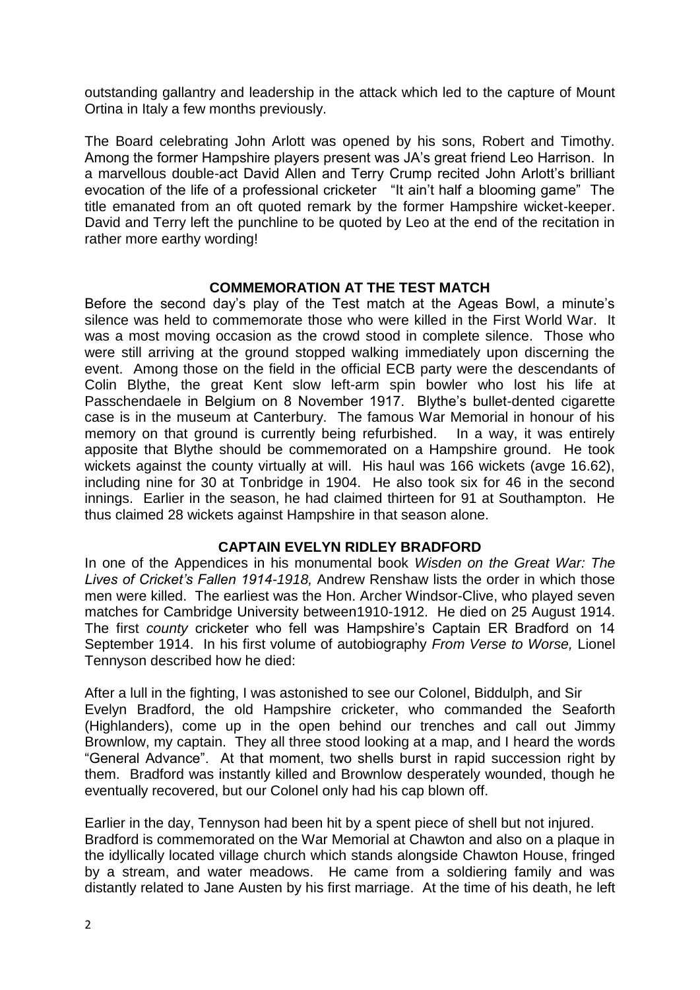outstanding gallantry and leadership in the attack which led to the capture of Mount Ortina in Italy a few months previously.

The Board celebrating John Arlott was opened by his sons, Robert and Timothy. Among the former Hampshire players present was JA's great friend Leo Harrison. In a marvellous double-act David Allen and Terry Crump recited John Arlott's brilliant evocation of the life of a professional cricketer "It ain't half a blooming game" The title emanated from an oft quoted remark by the former Hampshire wicket-keeper. David and Terry left the punchline to be quoted by Leo at the end of the recitation in rather more earthy wording!

# **COMMEMORATION AT THE TEST MATCH**

Before the second day's play of the Test match at the Ageas Bowl, a minute's silence was held to commemorate those who were killed in the First World War. It was a most moving occasion as the crowd stood in complete silence. Those who were still arriving at the ground stopped walking immediately upon discerning the event. Among those on the field in the official ECB party were the descendants of Colin Blythe, the great Kent slow left-arm spin bowler who lost his life at Passchendaele in Belgium on 8 November 1917. Blythe's bullet-dented cigarette case is in the museum at Canterbury. The famous War Memorial in honour of his memory on that ground is currently being refurbished. In a way, it was entirely apposite that Blythe should be commemorated on a Hampshire ground. He took wickets against the county virtually at will. His haul was 166 wickets (avge 16.62), including nine for 30 at Tonbridge in 1904. He also took six for 46 in the second innings. Earlier in the season, he had claimed thirteen for 91 at Southampton. He thus claimed 28 wickets against Hampshire in that season alone.

# **CAPTAIN EVELYN RIDLEY BRADFORD**

In one of the Appendices in his monumental book *Wisden on the Great War: The Lives of Cricket's Fallen 1914-1918,* Andrew Renshaw lists the order in which those men were killed. The earliest was the Hon. Archer Windsor-Clive, who played seven matches for Cambridge University between1910-1912. He died on 25 August 1914. The first *county* cricketer who fell was Hampshire's Captain ER Bradford on 14 September 1914. In his first volume of autobiography *From Verse to Worse,* Lionel Tennyson described how he died:

After a lull in the fighting, I was astonished to see our Colonel, Biddulph, and Sir Evelyn Bradford, the old Hampshire cricketer, who commanded the Seaforth (Highlanders), come up in the open behind our trenches and call out Jimmy Brownlow, my captain. They all three stood looking at a map, and I heard the words "General Advance". At that moment, two shells burst in rapid succession right by them. Bradford was instantly killed and Brownlow desperately wounded, though he eventually recovered, but our Colonel only had his cap blown off.

Earlier in the day, Tennyson had been hit by a spent piece of shell but not injured. Bradford is commemorated on the War Memorial at Chawton and also on a plaque in the idyllically located village church which stands alongside Chawton House, fringed by a stream, and water meadows. He came from a soldiering family and was distantly related to Jane Austen by his first marriage. At the time of his death, he left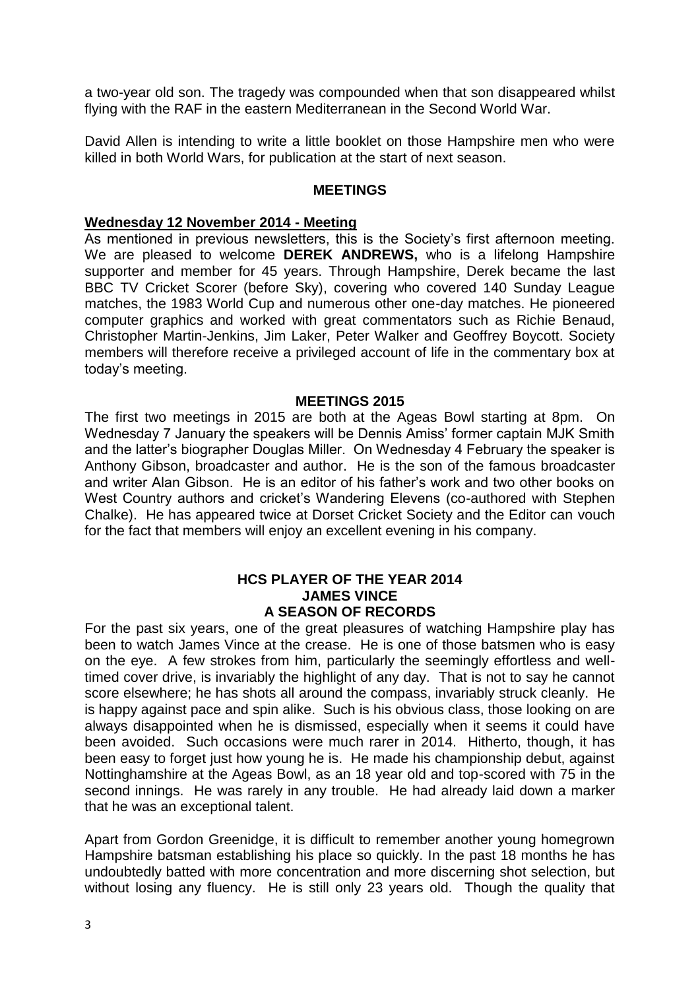a two-year old son. The tragedy was compounded when that son disappeared whilst flying with the RAF in the eastern Mediterranean in the Second World War.

David Allen is intending to write a little booklet on those Hampshire men who were killed in both World Wars, for publication at the start of next season.

#### **MEETINGS**

#### **Wednesday 12 November 2014 - Meeting**

As mentioned in previous newsletters, this is the Society's first afternoon meeting. We are pleased to welcome **DEREK ANDREWS,** who is a lifelong Hampshire supporter and member for 45 years. Through Hampshire, Derek became the last BBC TV Cricket Scorer (before Sky), covering who covered 140 Sunday League matches, the 1983 World Cup and numerous other one-day matches. He pioneered computer graphics and worked with great commentators such as Richie Benaud, Christopher Martin-Jenkins, Jim Laker, Peter Walker and Geoffrey Boycott. Society members will therefore receive a privileged account of life in the commentary box at today's meeting.

#### **MEETINGS 2015**

The first two meetings in 2015 are both at the Ageas Bowl starting at 8pm. On Wednesday 7 January the speakers will be Dennis Amiss' former captain MJK Smith and the latter's biographer Douglas Miller. On Wednesday 4 February the speaker is Anthony Gibson, broadcaster and author. He is the son of the famous broadcaster and writer Alan Gibson. He is an editor of his father's work and two other books on West Country authors and cricket's Wandering Elevens (co-authored with Stephen Chalke). He has appeared twice at Dorset Cricket Society and the Editor can vouch for the fact that members will enjoy an excellent evening in his company.

#### **HCS PLAYER OF THE YEAR 2014 JAMES VINCE A SEASON OF RECORDS**

For the past six years, one of the great pleasures of watching Hampshire play has been to watch James Vince at the crease. He is one of those batsmen who is easy on the eye. A few strokes from him, particularly the seemingly effortless and welltimed cover drive, is invariably the highlight of any day. That is not to say he cannot score elsewhere; he has shots all around the compass, invariably struck cleanly. He is happy against pace and spin alike. Such is his obvious class, those looking on are always disappointed when he is dismissed, especially when it seems it could have been avoided. Such occasions were much rarer in 2014. Hitherto, though, it has been easy to forget just how young he is. He made his championship debut, against Nottinghamshire at the Ageas Bowl, as an 18 year old and top-scored with 75 in the second innings. He was rarely in any trouble. He had already laid down a marker that he was an exceptional talent.

Apart from Gordon Greenidge, it is difficult to remember another young homegrown Hampshire batsman establishing his place so quickly. In the past 18 months he has undoubtedly batted with more concentration and more discerning shot selection, but without losing any fluency. He is still only 23 years old. Though the quality that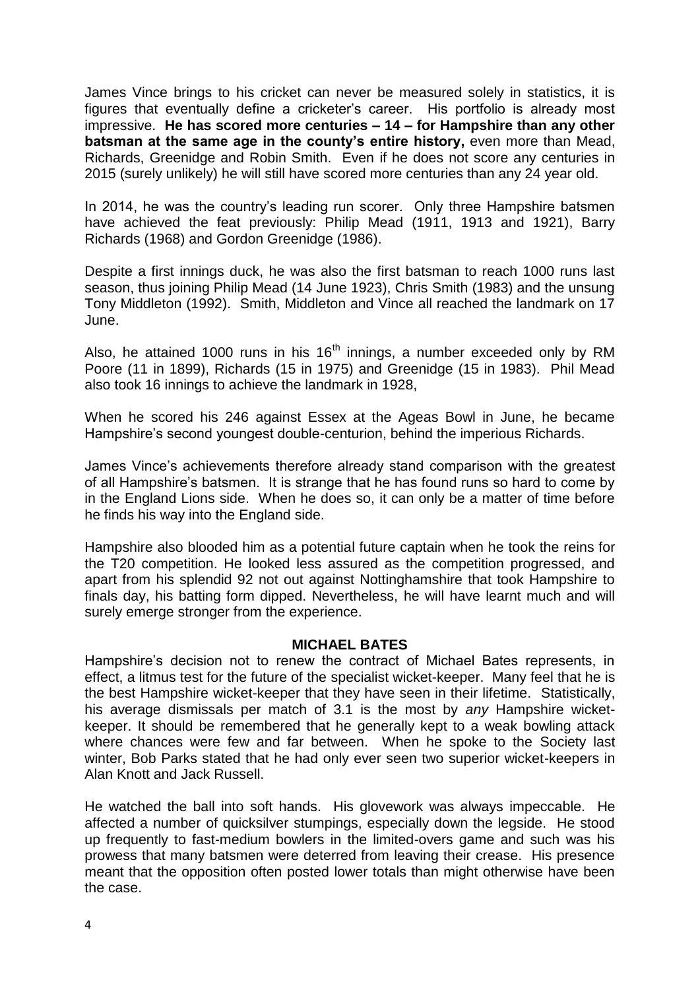James Vince brings to his cricket can never be measured solely in statistics, it is figures that eventually define a cricketer's career. His portfolio is already most impressive. **He has scored more centuries – 14 – for Hampshire than any other batsman at the same age in the county's entire history, even more than Mead,** Richards, Greenidge and Robin Smith. Even if he does not score any centuries in 2015 (surely unlikely) he will still have scored more centuries than any 24 year old.

In 2014, he was the country's leading run scorer. Only three Hampshire batsmen have achieved the feat previously: Philip Mead (1911, 1913 and 1921), Barry Richards (1968) and Gordon Greenidge (1986).

Despite a first innings duck, he was also the first batsman to reach 1000 runs last season, thus joining Philip Mead (14 June 1923), Chris Smith (1983) and the unsung Tony Middleton (1992). Smith, Middleton and Vince all reached the landmark on 17 June.

Also, he attained 1000 runs in his  $16<sup>th</sup>$  innings, a number exceeded only by RM Poore (11 in 1899), Richards (15 in 1975) and Greenidge (15 in 1983). Phil Mead also took 16 innings to achieve the landmark in 1928,

When he scored his 246 against Essex at the Ageas Bowl in June, he became Hampshire's second youngest double-centurion, behind the imperious Richards.

James Vince's achievements therefore already stand comparison with the greatest of all Hampshire's batsmen. It is strange that he has found runs so hard to come by in the England Lions side. When he does so, it can only be a matter of time before he finds his way into the England side.

Hampshire also blooded him as a potential future captain when he took the reins for the T20 competition. He looked less assured as the competition progressed, and apart from his splendid 92 not out against Nottinghamshire that took Hampshire to finals day, his batting form dipped. Nevertheless, he will have learnt much and will surely emerge stronger from the experience.

#### **MICHAEL BATES**

Hampshire's decision not to renew the contract of Michael Bates represents, in effect, a litmus test for the future of the specialist wicket-keeper. Many feel that he is the best Hampshire wicket-keeper that they have seen in their lifetime. Statistically, his average dismissals per match of 3.1 is the most by *any* Hampshire wicketkeeper. It should be remembered that he generally kept to a weak bowling attack where chances were few and far between. When he spoke to the Society last winter, Bob Parks stated that he had only ever seen two superior wicket-keepers in Alan Knott and Jack Russell.

He watched the ball into soft hands. His glovework was always impeccable. He affected a number of quicksilver stumpings, especially down the legside. He stood up frequently to fast-medium bowlers in the limited-overs game and such was his prowess that many batsmen were deterred from leaving their crease. His presence meant that the opposition often posted lower totals than might otherwise have been the case.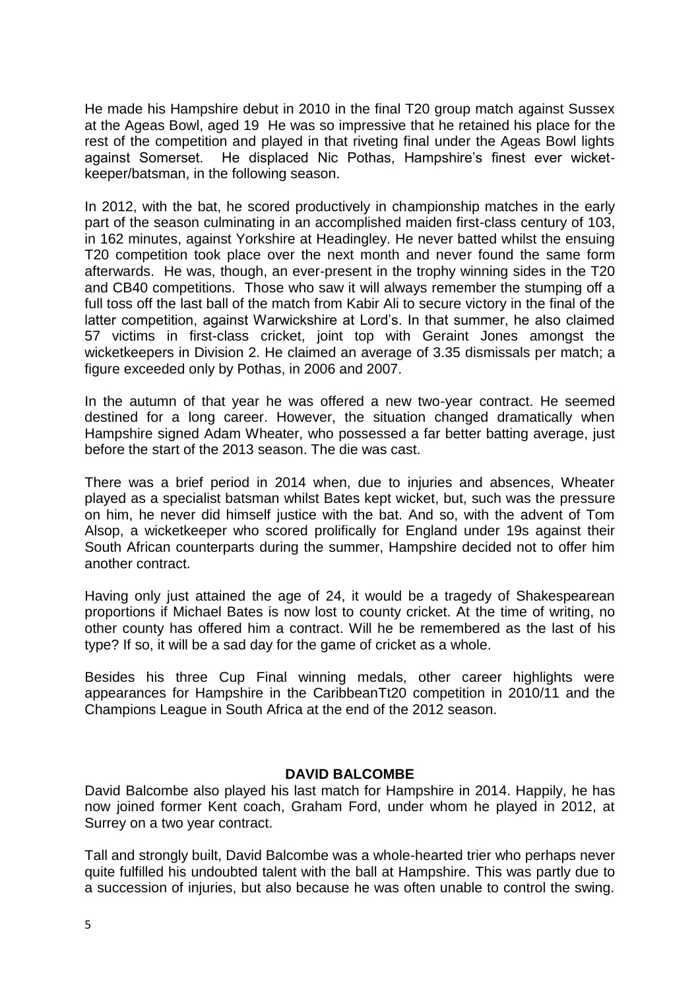He made his Hampshire debut in 2010 in the final T20 group match against Sussex at the Ageas Bowl, aged 19 He was so impressive that he retained his place for the rest of the competition and played in that riveting final under the Ageas Bowl lights against Somerset. He displaced Nic Pothas, Hampshire's finest ever wicketkeeper/batsman, in the following season.

In 2012, with the bat, he scored productively in championship matches in the early part of the season culminating in an accomplished maiden first-class century of 103, in 162 minutes, against Yorkshire at Headingley. He never batted whilst the ensuing T20 competition took place over the next month and never found the same form afterwards. He was, though, an ever-present in the trophy winning sides in the T20 and CB40 competitions. Those who saw it will always remember the stumping off a full toss off the last ball of the match from Kabir Ali to secure victory in the final of the latter competition, against Warwickshire at Lord's. In that summer, he also claimed 57 victims in first-class cricket, joint top with Geraint Jones amongst the wicketkeepers in Division 2. He claimed an average of 3.35 dismissals per match; a figure exceeded only by Pothas, in 2006 and 2007.

In the autumn of that year he was offered a new two-year contract. He seemed destined for a long career. However, the situation changed dramatically when Hampshire signed Adam Wheater, who possessed a far better batting average, just before the start of the 2013 season. The die was cast.

There was a brief period in 2014 when, due to injuries and absences, Wheater played as a specialist batsman whilst Bates kept wicket, but, such was the pressure on him, he never did himself justice with the bat. And so, with the advent of Tom Alsop, a wicketkeeper who scored prolifically for England under 19s against their South African counterparts during the summer, Hampshire decided not to offer him another contract.

Having only just attained the age of 24, it would be a tragedy of Shakespearean proportions if Michael Bates is now lost to county cricket. At the time of writing, no other county has offered him a contract. Will he be remembered as the last of his type? If so, it will be a sad day for the game of cricket as a whole.

Besides his three Cup Final winning medals, other career highlights were appearances for Hampshire in the CaribbeanTt20 competition in 2010/11 and the Champions League in South Africa at the end of the 2012 season.

# **DAVID BALCOMBE**

David Balcombe also played his last match for Hampshire in 2014. Happily, he has now joined former Kent coach, Graham Ford, under whom he played in 2012, at Surrey on a two year contract.

Tall and strongly built, David Balcombe was a whole-hearted trier who perhaps never quite fulfilled his undoubted talent with the ball at Hampshire. This was partly due to a succession of injuries, but also because he was often unable to control the swing.